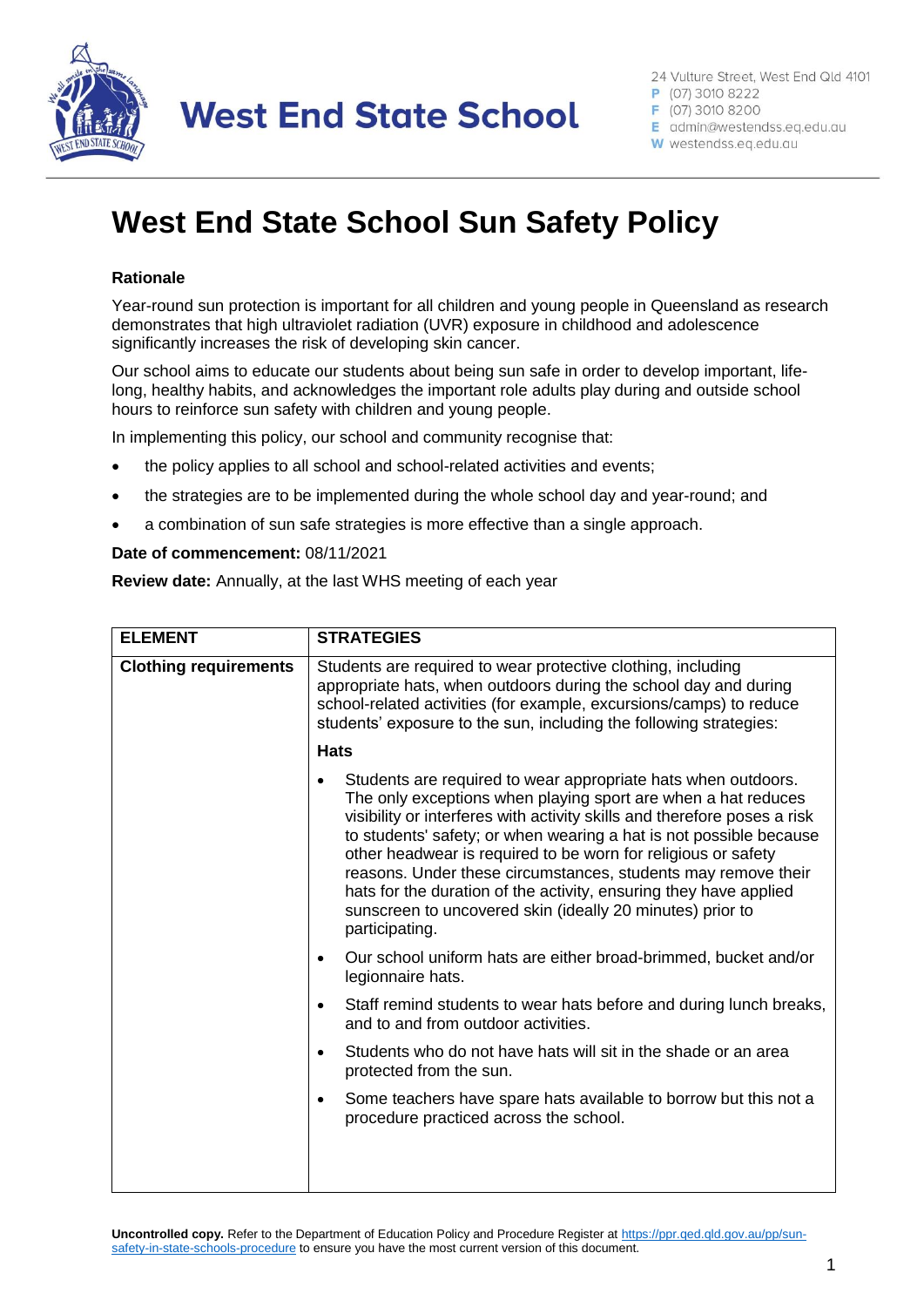

**West End State School** 

24 Vulture Street, West End Qld 4101

P (07) 3010 8222

F (07) 3010 8200 E admin@westendss.eq.edu.au

W westendss.eq.edu.au

## **West End State School Sun Safety Policy**

## **Rationale**

Year-round sun protection is important for all children and young people in Queensland as research demonstrates that high ultraviolet radiation (UVR) exposure in childhood and adolescence significantly increases the risk of developing skin cancer.

Our school aims to educate our students about being sun safe in order to develop important, lifelong, healthy habits, and acknowledges the important role adults play during and outside school hours to reinforce sun safety with children and young people.

In implementing this policy, our school and community recognise that:

- the policy applies to all school and school-related activities and events;
- the strategies are to be implemented during the whole school day and year-round; and
- a combination of sun safe strategies is more effective than a single approach.

## **Date of commencement:** 08/11/2021

**Review date:** Annually, at the last WHS meeting of each year

| <b>ELEMENT</b>               | <b>STRATEGIES</b>                                                                                                                                                                                                                                                                                                                                                                                                                                                                                                                                                      |  |
|------------------------------|------------------------------------------------------------------------------------------------------------------------------------------------------------------------------------------------------------------------------------------------------------------------------------------------------------------------------------------------------------------------------------------------------------------------------------------------------------------------------------------------------------------------------------------------------------------------|--|
| <b>Clothing requirements</b> | Students are required to wear protective clothing, including<br>appropriate hats, when outdoors during the school day and during<br>school-related activities (for example, excursions/camps) to reduce<br>students' exposure to the sun, including the following strategies:                                                                                                                                                                                                                                                                                          |  |
|                              | <b>Hats</b>                                                                                                                                                                                                                                                                                                                                                                                                                                                                                                                                                            |  |
|                              | Students are required to wear appropriate hats when outdoors.<br>The only exceptions when playing sport are when a hat reduces<br>visibility or interferes with activity skills and therefore poses a risk<br>to students' safety; or when wearing a hat is not possible because<br>other headwear is required to be worn for religious or safety<br>reasons. Under these circumstances, students may remove their<br>hats for the duration of the activity, ensuring they have applied<br>sunscreen to uncovered skin (ideally 20 minutes) prior to<br>participating. |  |
|                              | Our school uniform hats are either broad-brimmed, bucket and/or<br>$\bullet$<br>legionnaire hats.                                                                                                                                                                                                                                                                                                                                                                                                                                                                      |  |
|                              | Staff remind students to wear hats before and during lunch breaks,<br>$\bullet$<br>and to and from outdoor activities.                                                                                                                                                                                                                                                                                                                                                                                                                                                 |  |
|                              | Students who do not have hats will sit in the shade or an area<br>$\bullet$<br>protected from the sun.                                                                                                                                                                                                                                                                                                                                                                                                                                                                 |  |
|                              | Some teachers have spare hats available to borrow but this not a<br>$\bullet$<br>procedure practiced across the school.                                                                                                                                                                                                                                                                                                                                                                                                                                                |  |
|                              |                                                                                                                                                                                                                                                                                                                                                                                                                                                                                                                                                                        |  |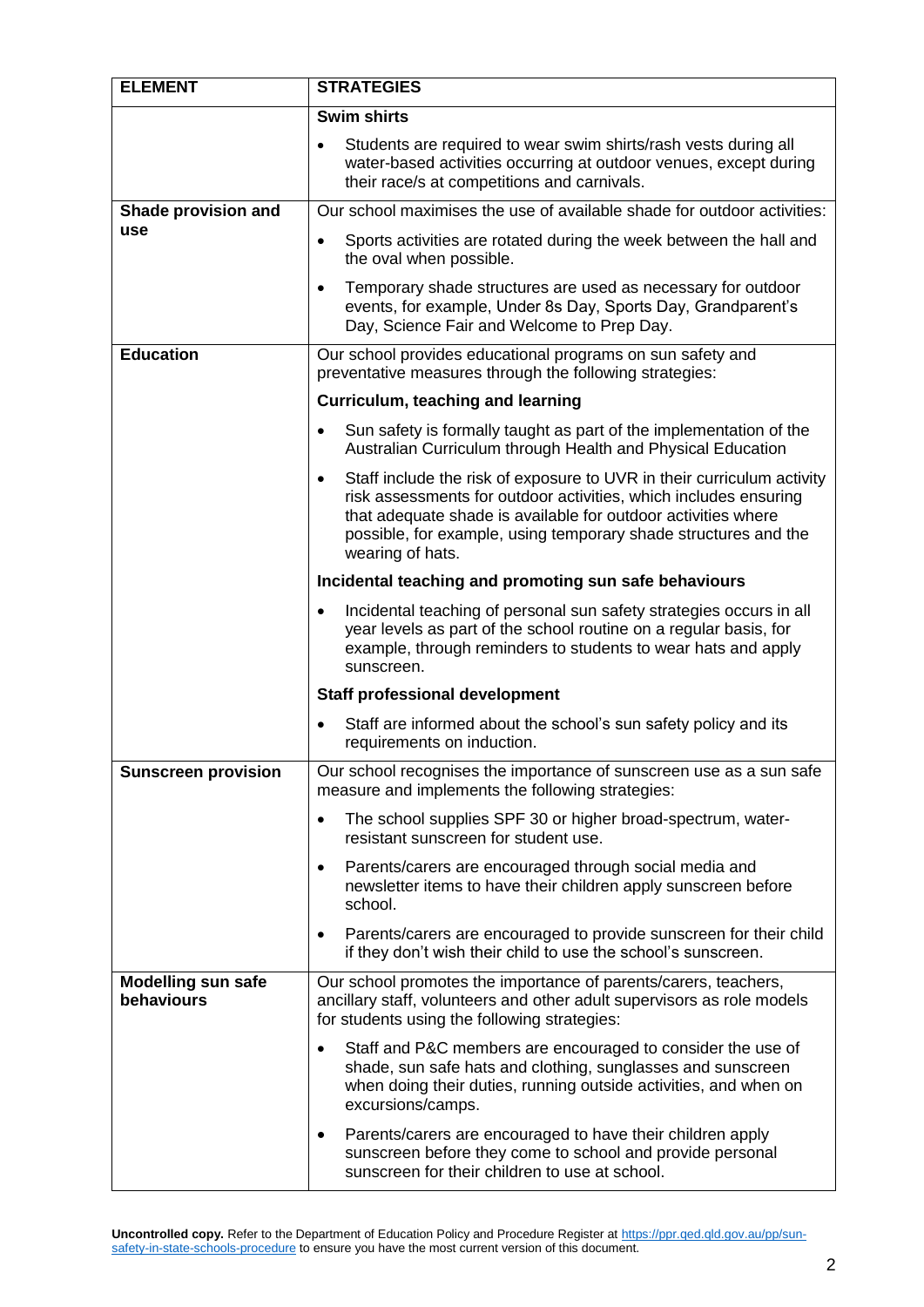| <b>ELEMENT</b>                          | <b>STRATEGIES</b>                                                                                                                                                                                                                                                                                               |  |
|-----------------------------------------|-----------------------------------------------------------------------------------------------------------------------------------------------------------------------------------------------------------------------------------------------------------------------------------------------------------------|--|
|                                         | <b>Swim shirts</b>                                                                                                                                                                                                                                                                                              |  |
|                                         | Students are required to wear swim shirts/rash vests during all<br>water-based activities occurring at outdoor venues, except during<br>their race/s at competitions and carnivals.                                                                                                                             |  |
| Shade provision and                     | Our school maximises the use of available shade for outdoor activities:                                                                                                                                                                                                                                         |  |
| use                                     | Sports activities are rotated during the week between the hall and<br>$\bullet$<br>the oval when possible.                                                                                                                                                                                                      |  |
|                                         | Temporary shade structures are used as necessary for outdoor<br>$\bullet$<br>events, for example, Under 8s Day, Sports Day, Grandparent's<br>Day, Science Fair and Welcome to Prep Day.                                                                                                                         |  |
| <b>Education</b>                        | Our school provides educational programs on sun safety and<br>preventative measures through the following strategies:                                                                                                                                                                                           |  |
|                                         | Curriculum, teaching and learning                                                                                                                                                                                                                                                                               |  |
|                                         | Sun safety is formally taught as part of the implementation of the<br>٠<br>Australian Curriculum through Health and Physical Education                                                                                                                                                                          |  |
|                                         | Staff include the risk of exposure to UVR in their curriculum activity<br>$\bullet$<br>risk assessments for outdoor activities, which includes ensuring<br>that adequate shade is available for outdoor activities where<br>possible, for example, using temporary shade structures and the<br>wearing of hats. |  |
|                                         | Incidental teaching and promoting sun safe behaviours                                                                                                                                                                                                                                                           |  |
|                                         | Incidental teaching of personal sun safety strategies occurs in all<br>$\bullet$<br>year levels as part of the school routine on a regular basis, for<br>example, through reminders to students to wear hats and apply<br>sunscreen.                                                                            |  |
|                                         | <b>Staff professional development</b>                                                                                                                                                                                                                                                                           |  |
|                                         | Staff are informed about the school's sun safety policy and its<br>requirements on induction.                                                                                                                                                                                                                   |  |
| <b>Sunscreen provision</b>              | Our school recognises the importance of sunscreen use as a sun safe<br>measure and implements the following strategies:                                                                                                                                                                                         |  |
|                                         | The school supplies SPF 30 or higher broad-spectrum, water-<br>$\bullet$<br>resistant sunscreen for student use.                                                                                                                                                                                                |  |
|                                         | Parents/carers are encouraged through social media and<br>$\bullet$<br>newsletter items to have their children apply sunscreen before<br>school.                                                                                                                                                                |  |
|                                         | Parents/carers are encouraged to provide sunscreen for their child<br>$\bullet$<br>if they don't wish their child to use the school's sunscreen.                                                                                                                                                                |  |
| <b>Modelling sun safe</b><br>behaviours | Our school promotes the importance of parents/carers, teachers,<br>ancillary staff, volunteers and other adult supervisors as role models<br>for students using the following strategies:                                                                                                                       |  |
|                                         | Staff and P&C members are encouraged to consider the use of<br>$\bullet$<br>shade, sun safe hats and clothing, sunglasses and sunscreen<br>when doing their duties, running outside activities, and when on<br>excursions/camps.                                                                                |  |
|                                         | Parents/carers are encouraged to have their children apply<br>$\bullet$<br>sunscreen before they come to school and provide personal<br>sunscreen for their children to use at school.                                                                                                                          |  |